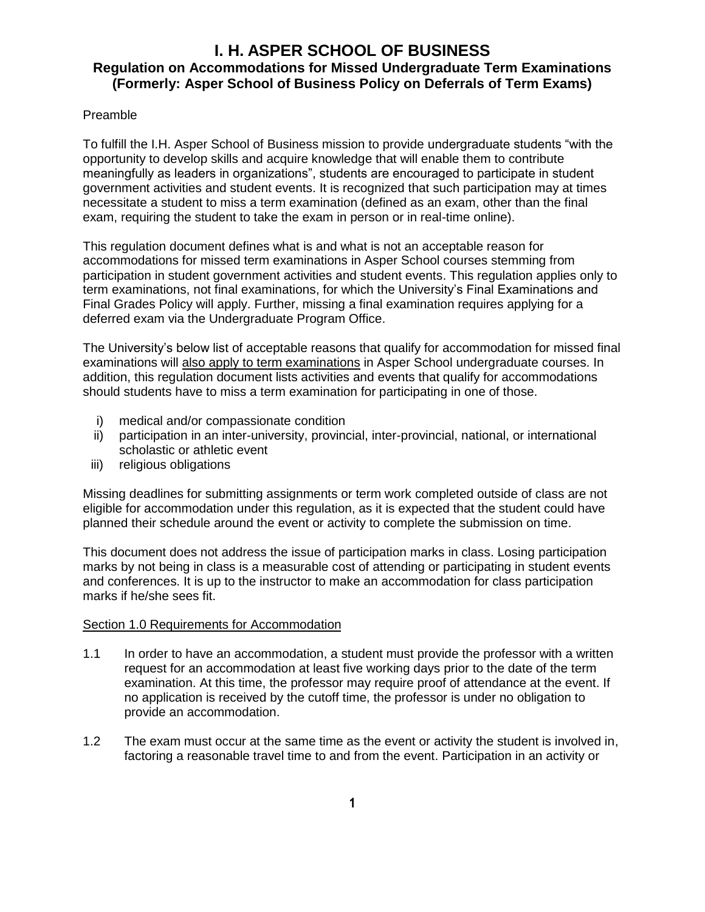# **I. H. ASPER SCHOOL OF BUSINESS Regulation on Accommodations for Missed Undergraduate Term Examinations (Formerly: Asper School of Business Policy on Deferrals of Term Exams)**

### Preamble

To fulfill the I.H. Asper School of Business mission to provide undergraduate students "with the opportunity to develop skills and acquire knowledge that will enable them to contribute meaningfully as leaders in organizations", students are encouraged to participate in student government activities and student events. It is recognized that such participation may at times necessitate a student to miss a term examination (defined as an exam, other than the final exam, requiring the student to take the exam in person or in real-time online).

This regulation document defines what is and what is not an acceptable reason for accommodations for missed term examinations in Asper School courses stemming from participation in student government activities and student events. This regulation applies only to term examinations, not final examinations, for which the University's Final Examinations and Final Grades Policy will apply. Further, missing a final examination requires applying for a deferred exam via the Undergraduate Program Office.

The University's below list of acceptable reasons that qualify for accommodation for missed final examinations will also apply to term examinations in Asper School undergraduate courses. In addition, this regulation document lists activities and events that qualify for accommodations should students have to miss a term examination for participating in one of those.

- i) medical and/or compassionate condition
- ii) participation in an inter-university, provincial, inter-provincial, national, or international scholastic or athletic event
- iii) religious obligations

Missing deadlines for submitting assignments or term work completed outside of class are not eligible for accommodation under this regulation, as it is expected that the student could have planned their schedule around the event or activity to complete the submission on time.

This document does not address the issue of participation marks in class. Losing participation marks by not being in class is a measurable cost of attending or participating in student events and conferences. It is up to the instructor to make an accommodation for class participation marks if he/she sees fit.

#### Section 1.0 Requirements for Accommodation

- 1.1 In order to have an accommodation, a student must provide the professor with a written request for an accommodation at least five working days prior to the date of the term examination. At this time, the professor may require proof of attendance at the event. If no application is received by the cutoff time, the professor is under no obligation to provide an accommodation.
- 1.2 The exam must occur at the same time as the event or activity the student is involved in, factoring a reasonable travel time to and from the event. Participation in an activity or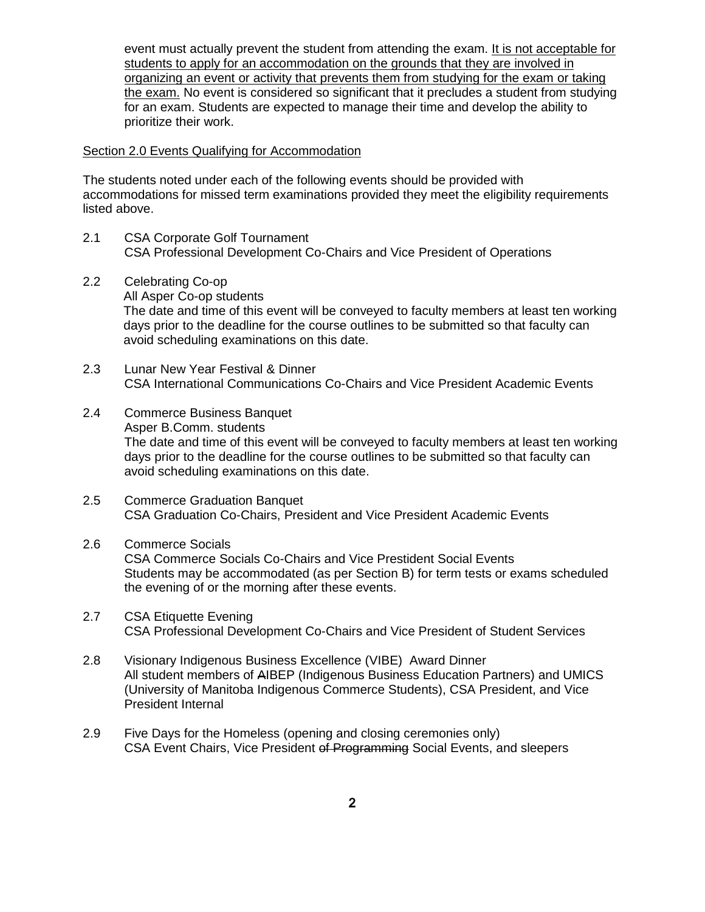event must actually prevent the student from attending the exam. It is not acceptable for students to apply for an accommodation on the grounds that they are involved in organizing an event or activity that prevents them from studying for the exam or taking the exam. No event is considered so significant that it precludes a student from studying for an exam. Students are expected to manage their time and develop the ability to prioritize their work.

#### Section 2.0 Events Qualifying for Accommodation

The students noted under each of the following events should be provided with accommodations for missed term examinations provided they meet the eligibility requirements listed above.

- 2.1 CSA Corporate Golf Tournament CSA Professional Development Co-Chairs and Vice President of Operations
- 2.2 Celebrating Co-op All Asper Co-op students The date and time of this event will be conveyed to faculty members at least ten working days prior to the deadline for the course outlines to be submitted so that faculty can avoid scheduling examinations on this date.
- 2.3 Lunar New Year Festival & Dinner CSA International Communications Co-Chairs and Vice President Academic Events
- 2.4 Commerce Business Banquet Asper B.Comm. students The date and time of this event will be conveyed to faculty members at least ten working days prior to the deadline for the course outlines to be submitted so that faculty can avoid scheduling examinations on this date.
- 2.5 Commerce Graduation Banquet CSA Graduation Co-Chairs, President and Vice President Academic Events

### 2.6 Commerce Socials

CSA Commerce Socials Co-Chairs and Vice Prestident Social Events Students may be accommodated (as per Section B) for term tests or exams scheduled the evening of or the morning after these events.

- 2.7 CSA Etiquette Evening CSA Professional Development Co-Chairs and Vice President of Student Services
- 2.8 Visionary Indigenous Business Excellence (VIBE) Award Dinner All student members of AIBEP (Indigenous Business Education Partners) and UMICS (University of Manitoba Indigenous Commerce Students), CSA President, and Vice President Internal
- 2.9 Five Days for the Homeless (opening and closing ceremonies only) CSA Event Chairs, Vice President of Programming Social Events, and sleepers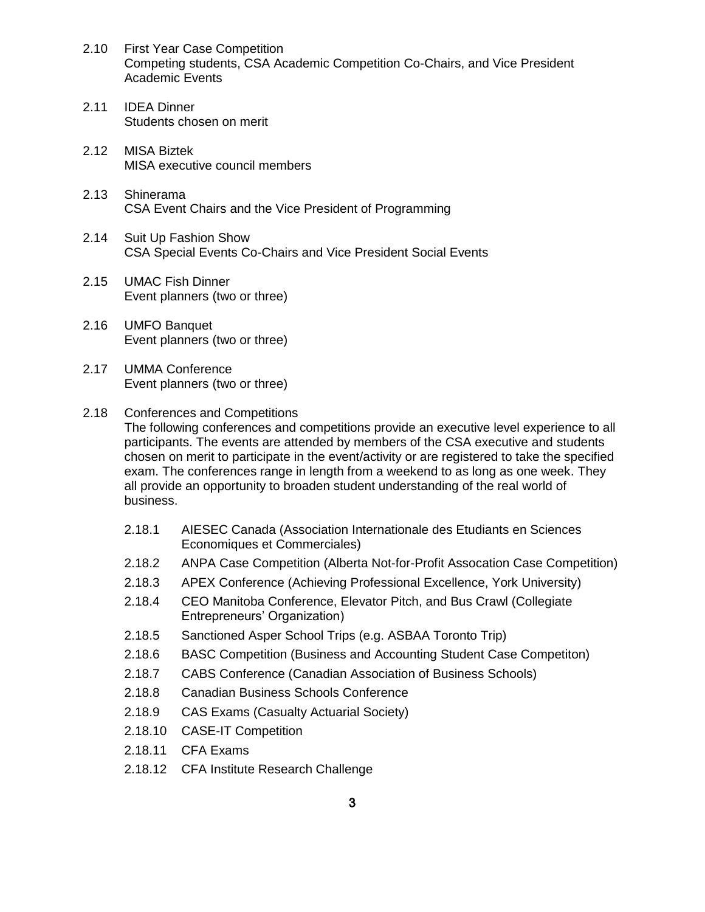- 2.10 First Year Case Competition Competing students, CSA Academic Competition Co-Chairs, and Vice President Academic Events
- 2.11 IDEA Dinner Students chosen on merit
- 2.12 MISA Biztek MISA executive council members
- 2.13 Shinerama CSA Event Chairs and the Vice President of Programming
- 2.14 Suit Up Fashion Show CSA Special Events Co-Chairs and Vice President Social Events
- 2.15 UMAC Fish Dinner Event planners (two or three)
- 2.16 UMFO Banquet Event planners (two or three)
- 2.17 UMMA Conference Event planners (two or three)

business.

- 2.18 Conferences and Competitions The following conferences and competitions provide an executive level experience to all participants. The events are attended by members of the CSA executive and students chosen on merit to participate in the event/activity or are registered to take the specified exam. The conferences range in length from a weekend to as long as one week. They all provide an opportunity to broaden student understanding of the real world of
	- 2.18.1 AIESEC Canada (Association Internationale des Etudiants en Sciences Economiques et Commerciales)
	- 2.18.2 ANPA Case Competition (Alberta Not-for-Profit Assocation Case Competition)
	- 2.18.3 APEX Conference (Achieving Professional Excellence, York University)
	- 2.18.4 CEO Manitoba Conference, Elevator Pitch, and Bus Crawl (Collegiate Entrepreneurs' Organization)
	- 2.18.5 Sanctioned Asper School Trips (e.g. ASBAA Toronto Trip)
	- 2.18.6 BASC Competition (Business and Accounting Student Case Competiton)
	- 2.18.7 CABS Conference (Canadian Association of Business Schools)
	- 2.18.8 Canadian Business Schools Conference
	- 2.18.9 CAS Exams (Casualty Actuarial Society)
	- 2.18.10 CASE-IT Competition
	- 2.18.11 CFA Exams
	- 2.18.12 CFA Institute Research Challenge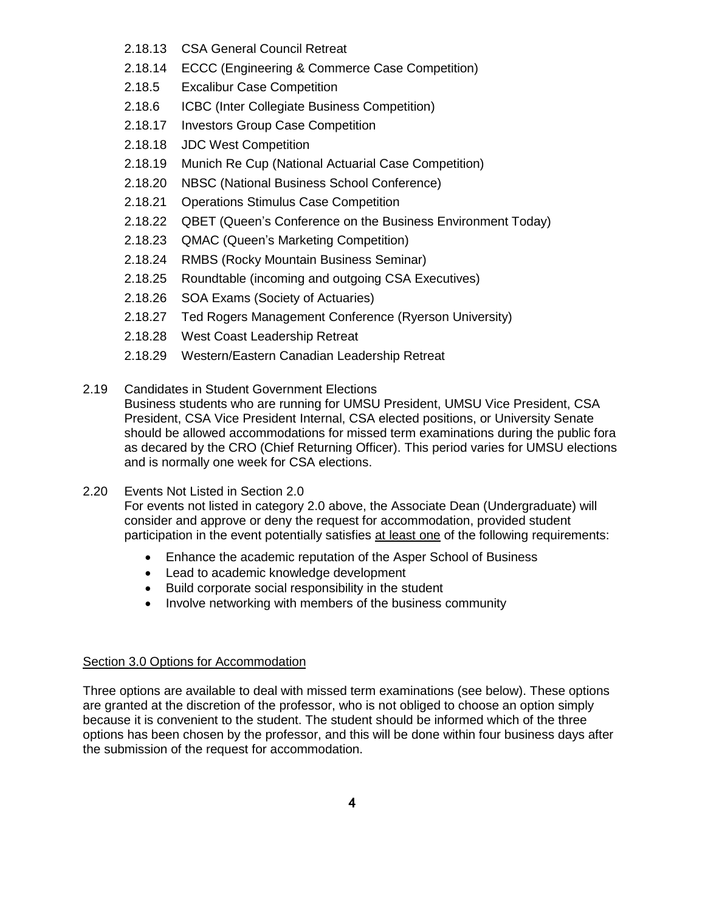- 2.18.13 CSA General Council Retreat
- 2.18.14 ECCC (Engineering & Commerce Case Competition)
- 2.18.5 Excalibur Case Competition
- 2.18.6 ICBC (Inter Collegiate Business Competition)
- 2.18.17 Investors Group Case Competition
- 2.18.18 JDC West Competition
- 2.18.19 Munich Re Cup (National Actuarial Case Competition)
- 2.18.20 NBSC (National Business School Conference)
- 2.18.21 Operations Stimulus Case Competition
- 2.18.22 QBET (Queen's Conference on the Business Environment Today)
- 2.18.23 QMAC (Queen's Marketing Competition)
- 2.18.24 RMBS (Rocky Mountain Business Seminar)
- 2.18.25 Roundtable (incoming and outgoing CSA Executives)
- 2.18.26 SOA Exams (Society of Actuaries)
- 2.18.27 Ted Rogers Management Conference (Ryerson University)
- 2.18.28 West Coast Leadership Retreat
- 2.18.29 Western/Eastern Canadian Leadership Retreat
- 2.19 Candidates in Student Government Elections

Business students who are running for UMSU President, UMSU Vice President, CSA President, CSA Vice President Internal, CSA elected positions, or University Senate should be allowed accommodations for missed term examinations during the public fora as decared by the CRO (Chief Returning Officer). This period varies for UMSU elections and is normally one week for CSA elections.

2.20 Events Not Listed in Section 2.0

For events not listed in category 2.0 above, the Associate Dean (Undergraduate) will consider and approve or deny the request for accommodation, provided student participation in the event potentially satisfies at least one of the following requirements:

- Enhance the academic reputation of the Asper School of Business
- Lead to academic knowledge development
- Build corporate social responsibility in the student
- Involve networking with members of the business community

# Section 3.0 Options for Accommodation

Three options are available to deal with missed term examinations (see below). These options are granted at the discretion of the professor, who is not obliged to choose an option simply because it is convenient to the student. The student should be informed which of the three options has been chosen by the professor, and this will be done within four business days after the submission of the request for accommodation.